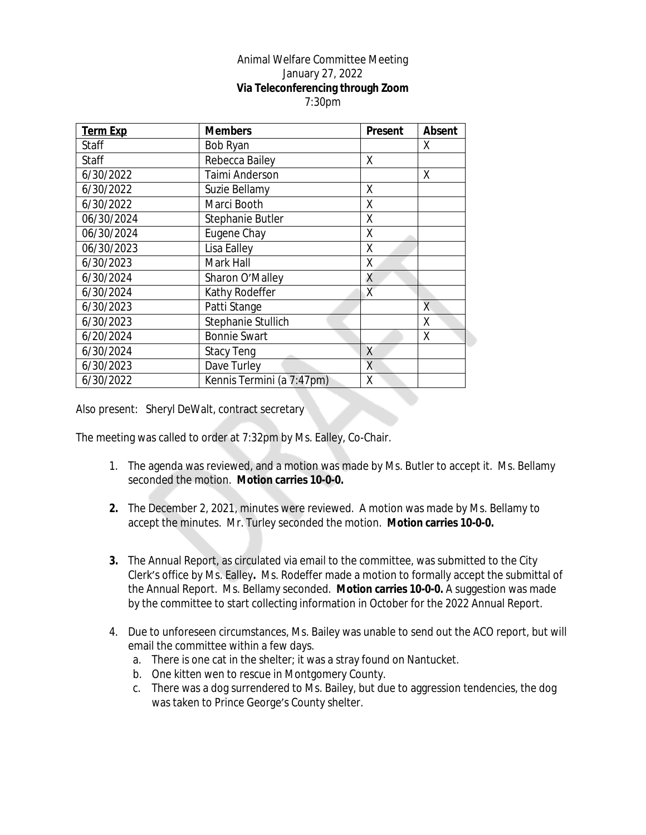## Animal Welfare Committee Meeting January 27, 2022 **Via Teleconferencing through Zoom** 7:30pm

| <b>Term Exp</b> | <b>Members</b>            | <b>Present</b> | <b>Absent</b> |
|-----------------|---------------------------|----------------|---------------|
| Staff           | Bob Ryan                  |                | χ             |
| Staff           | Rebecca Bailey            | X              |               |
| 6/30/2022       | Taimi Anderson            |                | Χ             |
| 6/30/2022       | Suzie Bellamy             | X              |               |
| 6/30/2022       | Marci Booth               | X              |               |
| 06/30/2024      | Stephanie Butler          | X              |               |
| 06/30/2024      | Eugene Chay               | Χ              |               |
| 06/30/2023      | Lisa Ealley               | Χ              |               |
| 6/30/2023       | Mark Hall                 | Χ              |               |
| 6/30/2024       | Sharon O'Malley           | X              |               |
| 6/30/2024       | Kathy Rodeffer            | X              |               |
| 6/30/2023       | Patti Stange              |                | Χ             |
| 6/30/2023       | Stephanie Stullich        |                | Χ             |
| 6/20/2024       | <b>Bonnie Swart</b>       |                | χ             |
| 6/30/2024       | <b>Stacy Teng</b>         | X              |               |
| 6/30/2023       | Dave Turley               | X              |               |
| 6/30/2022       | Kennis Termini (a 7:47pm) | X              |               |

Also present: Sheryl DeWalt, contract secretary

The meeting was called to order at 7:32pm by Ms. Ealley, Co-Chair.

- 1. The agenda was reviewed, and a motion was made by Ms. Butler to accept it. Ms. Bellamy seconded the motion. **Motion carries 10-0-0.**
- **2.** The December 2, 2021, minutes were reviewed. A motion was made by Ms. Bellamy to accept the minutes. Mr. Turley seconded the motion. **Motion carries 10-0-0.**
- **3.** The Annual Report, as circulated via email to the committee, was submitted to the City Clerk's office by Ms. Ealley**.** Ms. Rodeffer made a motion to formally accept the submittal of the Annual Report. Ms. Bellamy seconded. **Motion carries 10-0-0.** A suggestion was made by the committee to start collecting information in October for the 2022 Annual Report.
- 4. Due to unforeseen circumstances, Ms. Bailey was unable to send out the ACO report, but will email the committee within a few days.
	- a. There is one cat in the shelter; it was a stray found on Nantucket.
	- b. One kitten wen to rescue in Montgomery County.
	- c. There was a dog surrendered to Ms. Bailey, but due to aggression tendencies, the dog was taken to Prince George's County shelter.